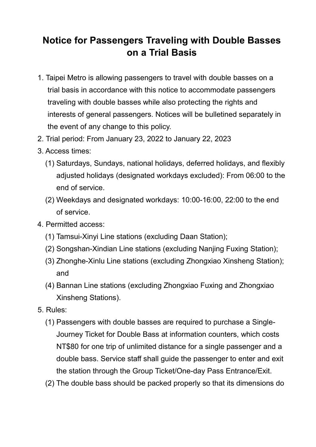## **Notice for Passengers Traveling with Double Basses on a Trial Basis**

- 1. Taipei Metro is allowing passengers to travel with double basses on a trial basis in accordance with this notice to accommodate passengers traveling with double basses while also protecting the rights and interests of general passengers. Notices will be bulletined separately in the event of any change to this policy.
- 2. Trial period: From January 23, 2022 to January 22, 2023
- 3. Access times:
	- (1) Saturdays, Sundays, national holidays, deferred holidays, and flexibly adjusted holidays (designated workdays excluded): From 06:00 to the end of service.
	- (2) Weekdays and designated workdays: 10:00-16:00, 22:00 to the end of service.
- 4. Permitted access:
	- (1) Tamsui-Xinyi Line stations (excluding Daan Station);
	- (2) Songshan-Xindian Line stations (excluding Nanjing Fuxing Station);
	- (3) Zhonghe-Xinlu Line stations (excluding Zhongxiao Xinsheng Station); and
	- (4) Bannan Line stations (excluding Zhongxiao Fuxing and Zhongxiao Xinsheng Stations).
- 5. Rules:
	- (1) Passengers with double basses are required to purchase a Single-Journey Ticket for Double Bass at information counters, which costs NT\$80 for one trip of unlimited distance for a single passenger and a double bass. Service staff shall guide the passenger to enter and exit the station through the Group Ticket/One-day Pass Entrance/Exit.
	- (2) The double bass should be packed properly so that its dimensions do